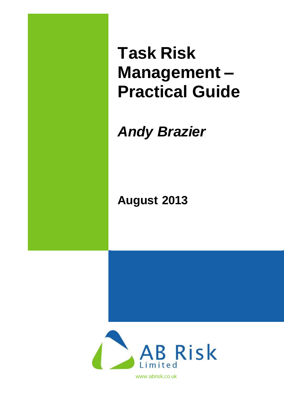**Task Risk Management – Practical Guide**

# *Andy Brazier*

# **August 2013**



www.abrisk.co.uk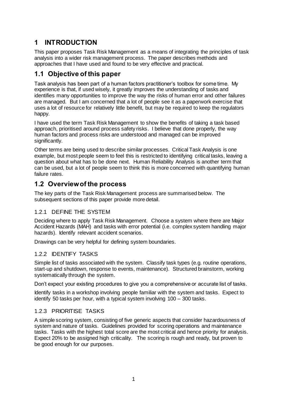## **1 INTRODUCTION**

This paper proposes Task Risk Management as a means of integrating the principles of task analysis into a wider risk management process. The paper describes methods and approaches that I have used and found to be very effective and practical.

## **1.1 Objective of this paper**

Task analysis has been part of a human factors practitioner's toolbox for some time. My experience is that, if used wisely, it greatly improves the understanding of tasks and identifies many opportunities to improve the way the risks of human error and other failures are managed. But I am concerned that a lot of people see it as a paperwork exercise that uses a lot of resource for relatively little benefit, but may be required to keep the regulators happy.

I have used the term Task Risk Management to show the benefits of taking a task based approach, prioritised around process safety risks. I believe that done properly, the way human factors and process risks are understood and managed can be improved significantly.

Other terms are being used to describe similar processes. Critical Task Analysis is one example, but most people seem to feel this is restricted to identifying critical tasks, leaving a question about what has to be done next. Human Reliability Analysis is another term that can be used, but a lot of people seem to think this is more concerned with quantifying human failure rates.

## **1.2 Overview of the process**

The key parts of the Task Risk Management process are summarised below. The subsequent sections of this paper provide more detail.

#### 1.2.1 DEFINE THE SYSTEM

Deciding where to apply Task Risk Management. Choose a system where there are Major Accident Hazards (MAH) and tasks with error potential (i.e. complex system handling major hazards). Identify relevant accident scenarios.

Drawings can be very helpful for defining system boundaries.

#### 1.2.2 IDENTIFY TASKS

Simple list of tasks associated with the system. Classify task types (e.g. routine operations, start-up and shutdown, response to events, maintenance). Structured brainstorm, working systematically through the system.

Don't expect your existing procedures to give you a comprehensive or accurate list of tasks.

Identify tasks in a workshop involving people familiar with the system and tasks. Expect to identify 50 tasks per hour, with a typical system involving 100 – 300 tasks.

#### 1.2.3 PRIORITISE TASKS

A simple scoring system, consisting of five generic aspects that consider hazardousness of system and nature of tasks. Guidelines provided for scoring operations and maintenance tasks. Tasks with the highest total score are the most critical and hence priority for analysis. Expect 20% to be assigned high criticality. The scoring is rough and ready, but proven to be good enough for our purposes.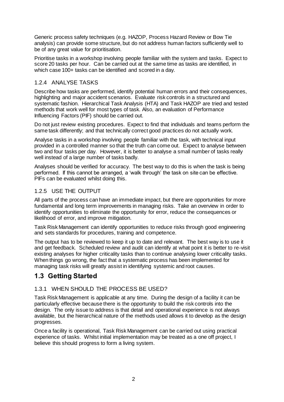Generic process safety techniques (e.g. HAZOP, Process Hazard Review or Bow Tie analysis) can provide some structure, but do not address human factors sufficiently well to be of any great value for prioritisation.

Prioritise tasks in a workshop involving people familiar with the system and tasks. Expect to score 20 tasks per hour. Can be carried out at the same time as tasks are identified, in which case 100+ tasks can be identified and scored in a day.

#### 1.2.4 ANALYSE TASKS

Describe how tasks are performed, identify potential human errors and their consequences, highlighting and major accident scenarios. Evaluate risk controls in a structured and systematic fashion. Hierarchical Task Analysis (HTA) and Task HAZOP are tried and tested methods that work well for most types of task. Also, an evaluation of Performance Influencing Factors (PIF) should be carried out.

Do not just review existing procedures. Expect to find that individuals and teams perform the same task differently; and that technically correct good practices do not actually work.

Analyse tasks in a workshop involving people familiar with the task, with technical input provided in a controlled manner so that the truth can come out. Expect to analyse between two and four tasks per day. However, it is better to analyse a small number of tasks really well instead of a large number of tasks badly.

Analyses should be verified for accuracy. The best way to do this is when the task is being performed. If this cannot be arranged, a 'walk through' the task on site can be effective. PIFs can be evaluated whilst doing this.

#### 1.2.5 USE THE OUTPUT

All parts of the process can have an immediate impact, but there are opportunities for more fundamental and long term improvements in managing risks. Take an overview in order to identify opportunities to eliminate the opportunity for error, reduce the consequences or likelihood of error, and improve mitigation.

Task Risk Management can identify opportunities to reduce risks through good engineering and sets standards for procedures, training and competence.

The output has to be reviewed to keep it up to date and relevant. The best way is to use it and get feedback. Scheduled review and audit can identify at what point it is better to re-visit existing analyses for higher criticality tasks than to continue analysing lower criticality tasks. When things go wrong, the fact that a systematic process has been implemented for managing task risks will greatly assist in identifying systemic and root causes.

## **1.3 Getting Started**

#### 1.3.1 WHEN SHOULD THE PROCESS BE USED?

Task Risk Management is applicable at any time. During the design of a facility it can be particularly effective because there is the opportunity to build the risk controls into the design. The only issue to address is that detail and operational experience is not always available, but the hierarchical nature of the methods used allows it to develop as the design progresses.

Once a facility is operational, Task Risk Management can be carried out using practical experience of tasks. Whilst initial implementation may be treated as a one off project, I believe this should progress to form a living system.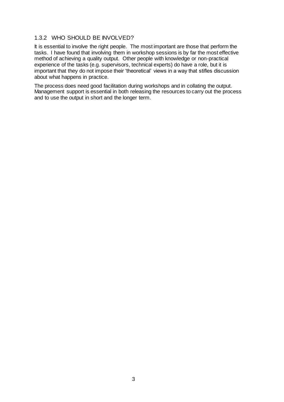#### 1.3.2 WHO SHOULD BE INVOLVED?

It is essential to involve the right people. The most important are those that perform the tasks. I have found that involving them in workshop sessions is by far the most effective method of achieving a quality output. Other people with knowledge or non-practical experience of the tasks (e.g. supervisors, technical experts) do have a role, but it is important that they do not impose their 'theoretical' views in a way that stifles discussion about what happens in practice.

The process does need good facilitation during workshops and in collating the output. Management support is essential in both releasing the resources to carry out the process and to use the output in short and the longer term.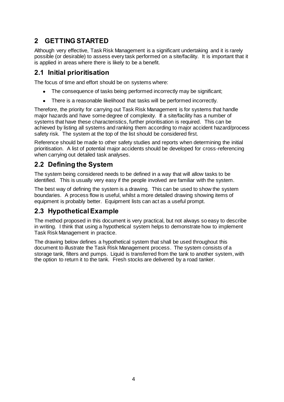## **2 GETTING STARTED**

Although very effective, Task Risk Management is a significant undertaking and it is rarely possible (or desirable) to assess every task performed on a site/facility. It is important that it is applied in areas where there is likely to be a benefit.

## **2.1 Initial prioritisation**

The focus of time and effort should be on systems where:

- The consequence of tasks being performed incorrectly may be significant;
- $\bullet$ There is a reasonable likelihood that tasks will be performed incorrectly.

Therefore, the priority for carrying out Task Risk Management is for systems that handle major hazards and have some degree of complexity. If a site/facility has a number of systems that have these characteristics, further prioritisation is required. This can be achieved by listing all systems and ranking them according to major accident hazard/process safety risk. The system at the top of the list should be considered first.

Reference should be made to other safety studies and reports when determining the initial prioritisation. A list of potential major accidents should be developed for cross-referencing when carrying out detailed task analyses.

## **2.2 Defining the System**

The system being considered needs to be defined in a way that will allow tasks to be identified. This is usually very easy if the people involved are familiar with the system.

The best way of defining the system is a drawing. This can be used to show the system boundaries. A process flow is useful, whilst a more detailed drawing showing items of equipment is probably better. Equipment lists can act as a useful prompt.

## **2.3 Hypothetical Example**

The method proposed in this document is very practical, but not always so easy to describe in writing. I think that using a hypothetical system helps to demonstrate how to implement Task Risk Management in practice.

The drawing below defines a hypothetical system that shall be used throughout this document to illustrate the Task Risk Management process. The system consists of a storage tank, filters and pumps. Liquid is transferred from the tank to another system, with the option to return it to the tank. Fresh stocks are delivered by a road tanker.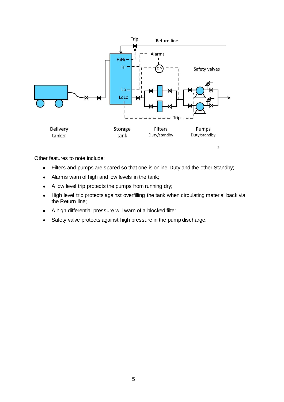

Other features to note include:

- Filters and pumps are spared so that one is online Duty and the other Standby;  $\bullet$
- Alarms warn of high and low levels in the tank;  $\bullet$
- A low level trip protects the pumps from running dry;  $\bullet$
- High level trip protects against overfilling the tank when circulating material back via  $\bullet$ the Return line;
- A high differential pressure will warn of a blocked filter;  $\bullet$
- Safety valve protects against high pressure in the pump discharge. $\bullet$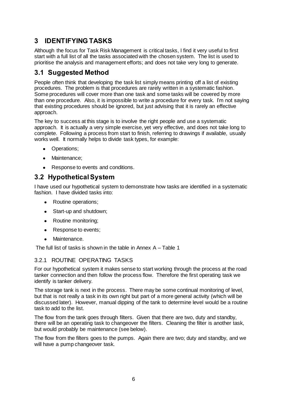## **3 IDENTIFYING TASKS**

Although the focus for Task Risk Management is critical tasks, I find it very useful to first start with a full list of all the tasks associated with the chosen system. The list is used to prioritise the analysis and management efforts; and does not take very long to generate.

### **3.1 Suggested Method**

People often think that developing the task list simply means printing off a list of existing procedures. The problem is that procedures are rarely written in a systematic fashion. Some procedures will cover more than one task and some tasks will be covered by more than one procedure. Also, it is impossible to write a procedure for every task. I'm not saying that existing procedures should be ignored, but just advising that it is rarely an effective approach.

The key to success at this stage is to involve the right people and use a systematic approach. It is actually a very simple exercise, yet very effective, and does not take long to complete. Following a process from start to finish, referring to drawings if available, usually works well. It normally helps to divide task types, for example:

- Operations;
- Maintenance:
- Response to events and conditions.

## **3.2 Hypothetical System**

I have used our hypothetical system to demonstrate how tasks are identified in a systematic fashion. I have divided tasks into:

- Routine operations;
- $\bullet$ Start-up and shutdown;
- Routine monitoring;
- Response to events;
- Maintenance.  $\bullet$

The full list of tasks is shown in the table in Annex A – Table 1

#### 3.2.1 ROUTINE OPERATING TASKS

For our hypothetical system it makes sense to start working through the process at the road tanker connection and then follow the process flow. Therefore the first operating task we identify is tanker delivery.

The storage tank is next in the process. There may be some continual monitoring of level, but that is not really a task in its own right but part of a more general activity (which will be discussed later). However, manual dipping of the tank to determine level would be a routine task to add to the list.

The flow from the tank goes through filters. Given that there are two, duty and standby, there will be an operating task to changeover the filters. Cleaning the filter is another task, but would probably be maintenance (see below).

The flow from the filters goes to the pumps. Again there are two; duty and standby, and we will have a pump changeover task.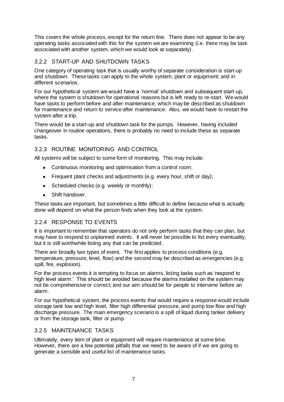This covers the whole process, except for the return line. There does not appear to be any operating tasks associated with this for the system we are examining (i.e. there may be task associated with another system, which we would look at separately).

#### 3.2.2 START-UP AND SHUTDOWN TASKS

One category of operating task that is usually worthy of separate consideration is start-up and shutdown. These tasks can apply to the whole system, plant or equipment; and in different scenarios.

For our hypothetical system we would have a 'normal' shutdown and subsequent start-up, where the system is shutdown for operational reasons but is left ready to re-start. We would have tasks to perform before and after maintenance, which may be described as shutdown for maintenance and return to service after maintenance. Also, we would have to restart the system after a trip.

There would be a start-up and shutdown task for the pumps. However, having included changeover in routine operations, there is probably no need to include these as separate tasks.

#### 3.2.3 ROUTINE MONITORING AND CONTROL

All systems will be subject to some form of monitoring. This may include:

- Continuous monitoring and optimisation from a control room;
- Frequent plant checks and adjustments (e.g. every hour, shift or day);
- Scheduled checks (e.g. weekly or monthly);  $\bullet$
- Shift handover.  $\bullet$

These tasks are important, but sometimes a little difficult to define because what is actually done will depend on what the person finds when they look at the system.

#### 3.2.4 RESPONSE TO EVENTS

It is important to remember that operators do not only perform tasks that they can plan, but may have to respond to unplanned events. It will never be possible to list every eventuality, but it is still worthwhile listing any that can be predicted.

There are broadly two types of event. The first applies to process conditions (e.g. temperature, pressure, level, flow) and the second may be described as emergencies (e.g. spill, fire, explosion).

For the process events it is tempting to focus on alarms, listing tasks such as 'respond to high level alarm.' This should be avoided because the alarms installed on the system may not be comprehensive or correct; and our aim should be for people to intervene before an alarm.

For our hypothetical system, the process events that would require a response would include storage tank low and high level, filter high differential pressure, and pump low flow and high discharge pressure. The main emergency scenario is a spill of liquid during tanker delivery or from the storage tank, filter or pump.

#### 3.2.5 MAINTENANCE TASKS

Ultimately, every item of plant or equipment will require maintenance at some time. However, there are a few potential pitfalls that we need to be aware of if we are going to generate a sensible and useful list of maintenance tasks.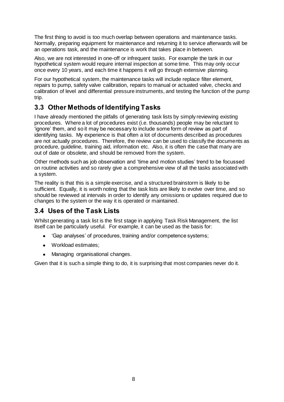The first thing to avoid is too much overlap between operations and maintenance tasks. Normally, preparing equipment for maintenance and returning it to service afterwards will be an operations task, and the maintenance is work that takes place in between.

Also, we are not interested in one-off or infrequent tasks. For example the tank in our hypothetical system would require internal inspection at some time. This may only occur once every 10 years, and each time it happens it will go through extensive planning.

For our hypothetical system, the maintenance tasks will include replace filter element, repairs to pump, safety valve calibration, repairs to manual or actuated valve, checks and calibration of level and differential pressure instruments, and testing the function of the pump trip.

## **3.3 Other Methods of Identifying Tasks**

I have already mentioned the pitfalls of generating task lists by simply reviewing existing procedures. Where a lot of procedures exist (i.e. thousands) people may be reluctant to 'ignore' them, and so it may be necessary to include some form of review as part of identifying tasks. My experience is that often a lot of documents described as procedures are not actually procedures. Therefore, the review can be used to classify the documents as procedure, guideline, training aid, information etc. Also, it is often the case that many are out of date or obsolete, and should be removed from the system.

Other methods such as job observation and 'time and motion studies' trend to be focussed on routine activities and so rarely give a comprehensive view of all the tasks associated with a system.

The reality is that this is a simple exercise, and a structured brainstorm is likely to be sufficient. Equally, it is worth noting that the task lists are likely to evolve over time, and so should be reviewed at intervals in order to identify any omissions or updates required due to changes to the system or the way it is operated or maintained.

## **3.4 Uses of the Task Lists**

Whilst generating a task list is the first stage in applying Task Risk Management, the list itself can be particularly useful. For example, it can be used as the basis for:

- 'Gap analyses' of procedures, training and/or competence systems;
- $\bullet$ Workload estimates;
- Managing organisational changes.  $\bullet$

Given that it is such a simple thing to do, it is surprising that most companies never do it.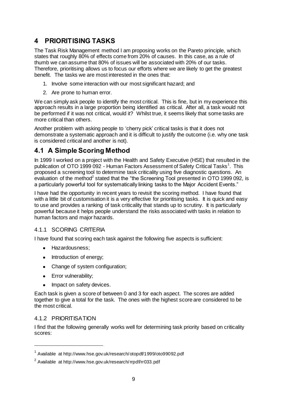## **4 PRIORITISING TASKS**

The Task Risk Management method I am proposing works on the Pareto principle, which states that roughly 80% of effects come from 20% of causes. In this case, as a rule of thumb we can assume that 80% of issues will be associated with 20% of our tasks. Therefore, prioritising allows us to focus our efforts where we are likely to get the greatest benefit. The tasks we are most interested in the ones that:

- 1. Involve some interaction with our most significant hazard; and
- 2. Are prone to human error.

We can simply ask people to identify the most critical. This is fine, but in my experience this approach results in a large proportion being identified as critical. After all, a task would not be performed if it was not critical, would it? Whilst true, it seems likely that some tasks are more critical than others.

Another problem with asking people to 'cherry pick' critical tasks is that it does not demonstrate a systematic approach and it is difficult to justify the outcome (i.e. why one task is considered critical and another is not).

## **4.1 A Simple Scoring Method**

In 1999 I worked on a project with the Health and Safety Executive (HSE) that resulted in the publication of OTO 1999 092 - Human Factors Assessment of Safety Critical Tasks<sup>1</sup>. This proposed a screening tool to determine task criticality using five diagnostic questions. An evaluation of the method<sup>2</sup> stated that the "the Screening Tool presented in OTO 1999 092, is a particularly powerful tool for systematically linking tasks to the Major Accident Events."

I have had the opportunity in recent years to revisit the scoring method. I have found that with a little bit of customisation it is a very effective for prioritising tasks. It is quick and easy to use and provides a ranking of task criticality that stands up to scrutiny. It is particularly powerful because it helps people understand the risks associated with tasks in relation to human factors and major hazards.

#### 4.1.1 SCORING CRITERIA

I have found that scoring each task against the following five aspects is sufficient:

- Hazardousness:
- Introduction of energy;
- $\bullet$ Change of system configuration;
- Error vulnerability;
- Impact on safety devices.  $\bullet$

Each task is given a score of between 0 and 3 for each aspect. The scores are added together to give a total for the task. The ones with the highest score are considered to be the most critical.

#### 4.1.2 PRIORITISATION

 $\overline{a}$ 

I find that the following generally works well for determining task priority based on criticality scores:

<sup>&</sup>lt;sup>1</sup> Available at http://www.hse.gov.uk/research/otopdf/1999/oto99092.pdf

 $^2$  Available at http://www.hse.gov.uk/research/rrpdf/rr033.pdf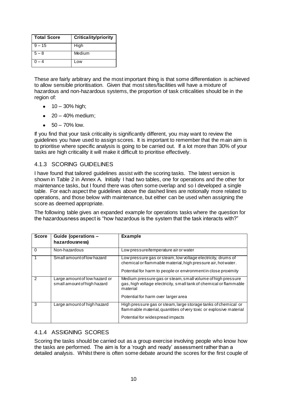| <b>Total Score</b> | <b>Criticality/priority</b> |
|--------------------|-----------------------------|
| $9 - 15$           | High                        |
| $5 - 8$            | Medium                      |
| $-4$               | Low                         |

These are fairly arbitrary and the most important thing is that some differentiation is achieved to allow sensible prioritisation. Given that most sites/facilities will have a mixture of hazardous and non-hazardous systems, the proportion of task criticalities should be in the region of:

- $\bullet$  10 30% high;
- $\bullet$  20 40% medium;
- $\bullet$  50 70% low.

If you find that your task criticality is significantly different, you may want to review the guidelines you have used to assign scores. It is important to remember that the main aim is to prioritise where specific analysis is going to be carried out. If a lot more than 30% of your tasks are high criticality it will make it difficult to prioritise effectively.

#### 4.1.3 SCORING GUIDELINES

I have found that tailored guidelines assist with the scoring tasks. The latest version is shown in Table 2 in Annex A. Initially I had two tables, one for operations and the other for maintenance tasks, but I found there was often some overlap and so I developed a single table. For each aspect the guidelines above the dashed lines are notionally more related to operations, and those below with maintenance, but either can be used when assigning the score as deemed appropriate.

The following table gives an expanded example for operations tasks where the question for the hazardousness aspect is "how hazardous is the system that the task interacts with?"

| <b>Score</b> | Guide (operations -<br>hazardousness)                        | <b>Example</b>                                                                                                                                                                                  |
|--------------|--------------------------------------------------------------|-------------------------------------------------------------------------------------------------------------------------------------------------------------------------------------------------|
| 0            | Non-hazardous                                                | Low pressure/temperature air or water                                                                                                                                                           |
|              | Small amount of low hazard                                   | Low pressure gas or steam, low voltage electricity, drums of<br>chemical or flammable material, high pressure air, hot water.<br>Potential for harm to people or environment in close proximity |
| 2            | Large amount of low hazard or<br>small amount of high hazard | Medium pressure gas or steam, small volume of high pressure<br>gas, high voltage electricity, small tank of chemical or flammable<br>material<br>Potential for harm over larger area            |
| 3            | Large amount of high hazard                                  | High pressure gas or steam, large storage tanks of chemical or<br>flammable material, quantities of very toxic or explosive material<br>Potential for widespread impacts                        |

#### 4.1.4 ASSIGNING SCORES

Scoring the tasks should be carried out as a group exercise involving people who know how the tasks are performed. The aim is for a 'rough and ready' assessment rather than a detailed analysis. Whilst there is often some debate around the scores for the first couple of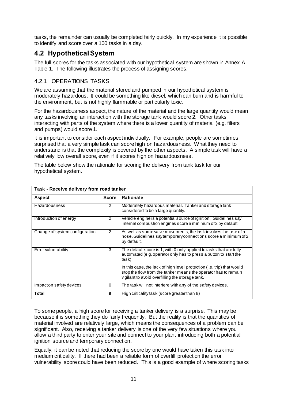tasks, the remainder can usually be completed fairly quickly. In my experience it is possible to identify and score over a 100 tasks in a day.

## **4.2 Hypothetical System**

The full scores for the tasks associated with our hypothetical system are shown in Annex A – Table 1. The following illustrates the process of assigning scores.

#### 4.2.1 OPERATIONS TASKS

We are assuming that the material stored and pumped in our hypothetical system is moderately hazardous. It could be something like diesel, which can burn and is harmful to the environment, but is not highly flammable or particularly toxic.

For the hazardousness aspect, the nature of the material and the large quantity would mean any tasks involving an interaction with the storage tank would score 2. Other tasks interacting with parts of the system where there is a lower quantity of material (e.g. filters and pumps) would score 1.

It is important to consider each aspect individually. For example, people are sometimes surprised that a very simple task can score high on hazardousness. What they need to understand is that the complexity is covered by the other aspects. A simple task will have a relatively low overall score, even if it scores high on hazardousness.

The table below show the rationale for scoring the delivery from tank task for our hypothetical system.

| Task - Receive delivery from road tanker |               |                                                                                                                                                                                             |  |  |
|------------------------------------------|---------------|---------------------------------------------------------------------------------------------------------------------------------------------------------------------------------------------|--|--|
| Aspect                                   | <b>Score</b>  | <b>Rationale</b>                                                                                                                                                                            |  |  |
| Hazardousness                            | 2             | Moderately hazardous material. Tanker and storage tank<br>considered to be a large quantity.                                                                                                |  |  |
| Introduction of energy                   | 2             | Vehicle engine is a potential source of ignition. Guidelines say<br>internal combustion engines score a minimum of 2 by default.                                                            |  |  |
| Change of system configuration           | $\mathcal{P}$ | As well as some valve movements, the task involves the use of a<br>hose. Guidelines say temporary connections score a minimum of 2<br>by default.                                           |  |  |
| Error vulnerability                      | 3             | The default score is 1, with 0 only applied to tasks that are fully<br>automated (e.g. operator only has to press a button to start the<br>task).                                           |  |  |
|                                          |               | In this case, the lack of high level protection (i.e. trip) that would<br>stop the flow from the tanker means the operator has to remain<br>vigilant to avoid overfilling the storage tank. |  |  |
| Impact on safety devices                 | 0             | The task will not interfere with any of the safety devices.                                                                                                                                 |  |  |
| Total                                    | 9             | High criticality task (score greater than 8)                                                                                                                                                |  |  |

To some people, a high score for receiving a tanker delivery is a surprise. This may be because it is something they do fairly frequently. But the reality is that the quantities of material involved are relatively large, which means the consequences of a problem can be significant. Also, receiving a tanker delivery is one of the very few situations where you allow a third party to enter your site and connect to your plant introducing both a potential ignition source and temporary connection.

Equally, it can be noted that reducing the score by one would have taken this task into medium criticality. If there had been a reliable form of overfill protection the error vulnerability score could have been reduced. This is a good example of where scoring tasks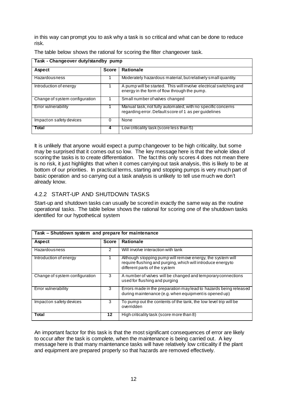in this way can prompt you to ask why a task is so critical and what can be done to reduce risk.

| Task - Changeover duty/standby pump |              |                                                                                                                      |  |  |  |
|-------------------------------------|--------------|----------------------------------------------------------------------------------------------------------------------|--|--|--|
| <b>Aspect</b>                       | <b>Score</b> | <b>Rationale</b>                                                                                                     |  |  |  |
| Hazardousness                       |              | Moderately hazardous material, but relatively small quantity.                                                        |  |  |  |
| Introduction of energy              |              | A pump will be started. This will involve electrical switching and<br>energy in the form of flow through the pump.   |  |  |  |
| Change of system configuration      |              | Small number of valves changed                                                                                       |  |  |  |
| Error vulnerability                 |              | Manual task, not fully automated, with no specific concerns<br>regarding error. Default score of 1 as per guidelines |  |  |  |
| Impact on safety devices            | 0            | None                                                                                                                 |  |  |  |
| Total                               | 4            | Low criticality task (score less than 5)                                                                             |  |  |  |

The table below shows the rational for scoring the filter changeover task.

It is unlikely that anyone would expect a pump changeover to be high criticality, but some may be surprised that it comes out so low. The key message here is that the whole idea of scoring the tasks is to create differentiation. The fact this only scores 4 does not mean there is no risk, it just highlights that when it comes carrying out task analysis, this is likely to be at bottom of our priorities. In practical terms, starting and stopping pumps is very much part of basic operation and so carrying out a task analysis is unlikely to tell use much we don't already know.

#### 4.2.2 START-UP AND SHUTDOWN TASKS

Start-up and shutdown tasks can usually be scored in exactly the same way as the routine operational tasks. The table below shows the rational for scoring one of the shutdown tasks identified for our hypothetical system

| Task – Shutdown system and prepare for maintenance |              |                                                                                                                                                             |  |  |
|----------------------------------------------------|--------------|-------------------------------------------------------------------------------------------------------------------------------------------------------------|--|--|
| <b>Aspect</b>                                      | <b>Score</b> | <b>Rationale</b>                                                                                                                                            |  |  |
| Hazardousness                                      | 2            | Will involve interaction with tank                                                                                                                          |  |  |
| Introduction of energy                             |              | Although stopping pump will remove energy, the system will<br>require flushing and purging, which will introduce energy to<br>different parts of the system |  |  |
| Change of system configuration                     | 3            | A number of valves will be changed and temporary connections<br>used for flushing and purging                                                               |  |  |
| Error vulnerability                                | 3            | Errors made in the preparation may lead to hazards being released<br>during maintenance (e.g. when equipment is opened up)                                  |  |  |
| Impact on safety devices                           | 3            | To pump out the contents of the tank, the low level trip will be<br>overridden                                                                              |  |  |
| Total                                              | 12           | High criticality task (score more than 8)                                                                                                                   |  |  |

An important factor for this task is that the most significant consequences of error are likely to occur after the task is complete, when the maintenance is being carried out. A key message here is that many maintenance tasks will have relatively low criticality if the plant and equipment are prepared properly so that hazards are removed effectively.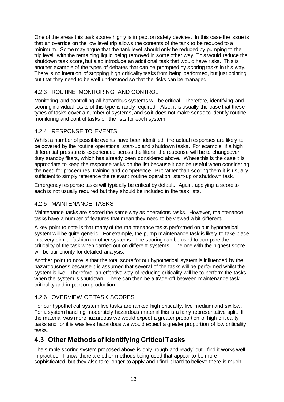One of the areas this task scores highly is impact on safety devices. In this case the issue is that an override on the low level trip allows the contents of the tank to be reduced to a minimum. Some may argue that the tank level should only be reduced by pumping to the trip level, with the remaining liquid being removed in some other way. This would reduce the shutdown task score, but also introduce an additional task that would have risks. This is another example of the types of debates that can be prompted by scoring tasks in this way. There is no intention of stopping high criticality tasks from being performed, but just pointing out that they need to be well understood so that the risks can be managed.

#### 4.2.3 ROUTINE MONITORING AND CONTROL

Monitoring and controlling all hazardous systems will be critical. Therefore, identifying and scoring individual tasks of this type is rarely required. Also, it is usually the case that these types of tasks cover a number of systems, and so it does not make sense to identify routine monitoring and control tasks on the lists for each system.

#### 4.2.4 RESPONSE TO EVENTS

Whilst a number of possible events have been identified, the actual responses are likely to be covered by the routine operations, start-up and shutdown tasks. For example, if a high differential pressure is experienced across the filters, the response will be to changeover duty standby filters, which has already been considered above. Where this is the case it is appropriate to keep the response tasks on the list because it can be useful when considering the need for procedures, training and competence. But rather than scoring them it is usually sufficient to simply reference the relevant routine operation, start-up or shutdown task.

Emergency response tasks will typically be critical by default. Again, applying a score to each is not usually required but they should be included in the task lists.

#### 4.2.5 MAINTENANCE TASKS

Maintenance tasks are scored the same way as operations tasks. However, maintenance tasks have a number of features that mean they need to be viewed a bit different.

A key point to note is that many of the maintenance tasks performed on our hypothetical system will be quite generic. For example, the pump maintenance task is likely to take place in a very similar fashion on other systems. The scoring can be used to compare the criticality of the task when carried out on different systems. The one with the highest score will be our priority for detailed analysis.

Another point to note is that the total score for our hypothetical system is influenced by the hazardousness because it is assumed that several of the tasks will be performed whilst the system is live. Therefore, an effective way of reducing criticality will be to perform the tasks when the system is shutdown. There can then be a trade-off between maintenance task criticality and impact on production.

#### 4.2.6 OVERVIEW OF TASK SCORES

For our hypothetical system five tasks are ranked high criticality, five medium and six low. For a system handling moderately hazardous material this is a fairly representative split. If the material was more hazardous we would expect a greater proportion of high criticality tasks and for it is was less hazardous we would expect a greater proportion of low criticality tasks.

## **4.3 Other Methods of Identifying Critical Tasks**

The simple scoring system proposed above is only 'rough and ready' but I find it works well in practice. I know there are other methods being used that appear to be more sophisticated, but they also take longer to apply and I find it hard to believe there is much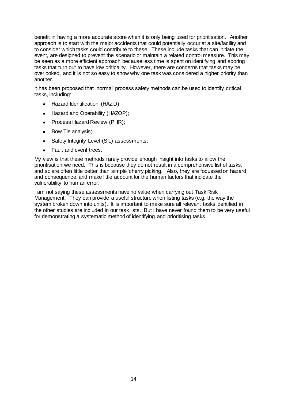benefit in having a more accurate score when it is only being used for prioritisation. Another approach is to start with the major accidents that could potentially occur at a site/facility and to consider which tasks could contribute to these. These include tasks that can initiate the event, are designed to prevent the scenario or maintain a related control measure. This may be seen as a more efficient approach because less time is spent on identifying and scoring tasks that turn out to have low criticality. However, there are concerns that tasks may be overlooked, and it is not so easy to show why one task was considered a higher priority than another.

It has been proposed that 'normal' process safety methods can be used to identify critical tasks, including:

- Hazard Identification (HAZID);
- Hazard and Operability (HAZOP);
- $\bullet$ Process Hazard Review (PHR);
- $\bullet$ Bow Tie analysis;
- Safety Integrity Level (SIL) assessments:  $\bullet$
- $\bullet$ Fault and event trees.

My view is that these methods rarely provide enough insight into tasks to allow the prioritisation we need. This is because they do not result in a comprehensive list of tasks, and so are often little better than simple 'cherry picking.' Also, they are focussed on hazard and consequence, and make little account for the human factors that indicate the vulnerability to human error.

I am not saying these assessments have no value when carrying out Task Risk Management. They can provide a useful structure when listing tasks (e.g. the way the system broken down into units). It is important to make sure all relevant tasks identified in the other studies are included in our task lists. But I have never found them to be very useful for demonstrating a systematic method of identifying and prioritising tasks.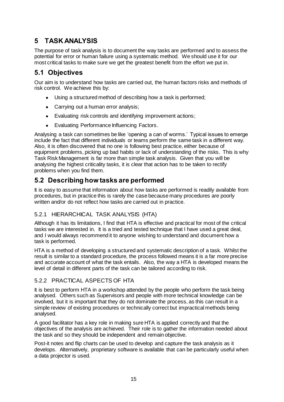## **5 TASK ANALYSIS**

The purpose of task analysis is to document the way tasks are performed and to assess the potential for error or human failure using a systematic method. We should use it for our most critical tasks to make sure we get the greatest benefit from the effort we put in.

## **5.1 Objectives**

Our aim is to understand how tasks are carried out, the human factors risks and methods of risk control. We achieve this by:

- Using a structured method of describing how a task is performed;
- Carrying out a human error analysis;
- Evaluating risk controls and identifying improvement actions;
- Evaluating Performance Influencing Factors.

Analysing a task can sometimes be like 'opening a can of worms.' Typical issues to emerge include the fact that different individuals or teams perform the same task in a different way. Also, it is often discovered that no one is following best practice, either because of equipment problems, picking up bad habits or lack of understanding of the risks. This is why Task Risk Management is far more than simple task analysis. Given that you will be analysing the highest criticality tasks, it is clear that action has to be taken to rectify problems when you find them.

## **5.2 Describing how tasks are performed**

It is easy to assume that information about how tasks are performed is readily available from procedures, but in practice this is rarely the case because many procedures are poorly written and/or do not reflect how tasks are carried out in practice.

#### 5.2.1 HIERARCHICAL TASK ANALYSIS (HTA)

Although it has its limitations, I find that HTA is effective and practical for most of the critical tasks we are interested in. It is a tried and tested technique that I have used a great deal, and I would always recommend it to anyone wishing to understand and document how a task is performed.

HTA is a method of developing a structured and systematic description of a task. Whilst the result is similar to a standard procedure, the process followed means it is a far more precise and accurate account of what the task entails. Also, the way a HTA is developed means the level of detail in different parts of the task can be tailored according to risk.

#### 5.2.2 PRACTICAL ASPECTS OF HTA

It is best to perform HTA in a workshop attended by the people who perform the task being analysed. Others such as Supervisors and people with more technical knowledge can be involved, but it is important that they do not dominate the process, as this can result in a simple review of existing procedures or technically correct but impractical methods being analysed.

A good facilitator has a key role in making sure HTA is applied correctly and that the objectives of the analysis are achieved. Their role is to gather the information needed about the task and so they should be independent and remain objective.

Post-it notes and flip charts can be used to develop and capture the task analysis as it develops. Alternatively, proprietary software is available that can be particularly useful when a data projector is used.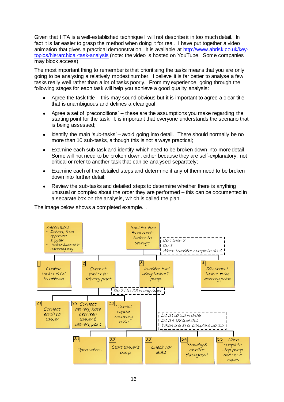Given that HTA is a well-established technique I will not describe it in too much detail. In fact it is far easier to grasp the method when doing it for real. I have put together a video animation that gives a practical demonstration. It is available at [http://www.abrisk.co.uk/key](http://www.abrisk.co.uk/key-topics/hierarchical-task-analysis)[topics/hierarchical-task-analysis](http://www.abrisk.co.uk/key-topics/hierarchical-task-analysis) (note: the video is hosted on YouTube. Some companies may block access)

The most important thing to remember is that prioritising the tasks means that you are only going to be analysing a relatively modest number. I believe it is far better to analyse a few tasks really well rather than a lot of tasks poorly. From my experience, going through the following stages for each task will help you achieve a good quality analysis:

- Agree the task title this may sound obvious but it is important to agree a clear title that is unambiguous and defines a clear goal;
- Agree a set of 'preconditions' these are the assumptions you make regarding the  $\bullet$ starting point for the task. It is important that everyone understands the scenario that is being assessed;
- Identify the main 'sub-tasks' avoid going into detail. There should normally be no  $\bullet$ more than 10 sub-tasks, although this is not always practical;
- Examine each sub-task and identify which need to be broken down into more detail.  $\bullet$ Some will not need to be broken down, either because they are self-explanatory, not critical or refer to another task that can be analysed separately;
- Examine each of the detailed steps and determine if any of them need to be broken  $\bullet$ down into further detail;
- Review the sub-tasks and detailed steps to determine whether there is anything  $\bullet$ unusual or complex about the order they are performed – this can be documented in a separate box on the analysis, which is called the plan.

The image below shows a completed example. .

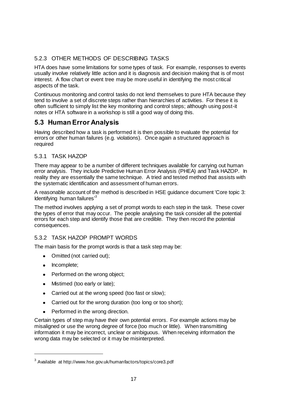#### 5.2.3 OTHER METHODS OF DESCRIBING TASKS

HTA does have some limitations for some types of task. For example, responses to events usually involve relatively little action and it is diagnosis and decision making that is of most interest. A flow chart or event tree may be more useful in identifying the most critical aspects of the task.

Continuous monitoring and control tasks do not lend themselves to pure HTA because they tend to involve a set of discrete steps rather than hierarchies of activities. For these it is often sufficient to simply list the key monitoring and control steps; although using post-it notes or HTA software in a workshop is still a good way of doing this.

## **5.3 Human Error Analysis**

Having described how a task is performed it is then possible to evaluate the potential for errors or other human failures (e.g. violations). Once again a structured approach is required

#### 5.3.1 TASK HAZOP

There may appear to be a number of different techniques available for carrying out human error analysis. They include Predictive Human Error Analysis (PHEA) and Task HAZOP. In reality they are essentially the same technique. A tried and tested method that assists with the systematic identification and assessment of human errors.

A reasonable account of the method is described in HSE guidance document 'Core topic 3: Identifying human failures<sup>'3</sup>

The method involves applying a set of prompt words to each step in the task. These cover the types of error that may occur. The people analysing the task consider all the potential errors for each step and identify those that are credible. They then record the potential consequences.

#### 5.3.2 TASK HAZOP PROMPT WORDS

The main basis for the prompt words is that a task step may be:

- Omitted (not carried out);
- $\bullet$ Incomplete;

 $\overline{a}$ 

- Performed on the wrong object;
- Mistimed (too early or late);
- $\bullet$ Carried out at the wrong speed (too fast or slow);
- Carried out for the wrong duration (too long or too short);
- Performed in the wrong direction.

Certain types of step may have their own potential errors. For example actions may be misaligned or use the wrong degree of force (too much or little). When transmitting information it may be incorrect, unclear or ambiguous. When receiving information the wrong data may be selected or it may be misinterpreted.

 $^3$  Available  $\,$  at http://www.hse.gov.uk/humanfactors/topics/core3.pdf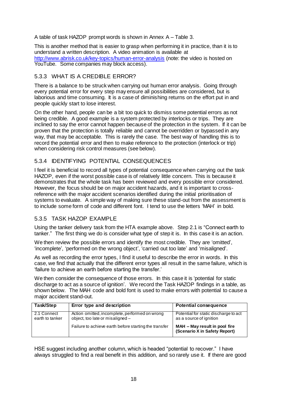A table of task HAZOP prompt words is shown in Annex A – Table 3.

This is another method that is easier to grasp when performing it in practice, than it is to understand a written description. A video animation is available at <http://www.abrisk.co.uk/key-topics/human-error-analysis> (note: the video is hosted on YouTube. Some companies may block access).

#### 5.3.3 WHAT IS A CREDIBLE ERROR?

There is a balance to be struck when carrying out human error analysis. Going through every potential error for every step may ensure all possibilities are considered, but is laborious and time consuming. It is a case of diminishing returns on the effort put in and people quickly start to lose interest.

On the other hand, people can be a bit too quick to dismiss some potential errors as not being credible. A good example is a system protected by interlocks or trips. They are inclined to say the error cannot happen because of the protection in the system. If it can be proven that the protection is totally reliable and cannot be overridden or bypassed in any way, that may be acceptable. This is rarely the case. The best way of handling this is to record the potential error and then to make reference to the protection (interlock or trip) when considering risk control measures (see below).

#### 5.3.4 IDENTIFYING POTENTIAL CONSEQUENCES

I feel it is beneficial to record all types of potential consequence when carrying out the task HAZOP, even if the worst possible case is of relatively little concern. This is because it demonstrates that the whole task has been reviewed and every possible error considered. However, the focus should be on major accident hazards, and it is important to crossreference with the major accident scenarios identified during the initial prioritisation of systems to evaluate. A simple way of making sure these stand-out from the assessment is to include some form of code and different font. I tend to use the letters 'MAH' in bold.

#### 5.3.5 TASK HAZOP EXAMPLE

Using the tanker delivery task from the HTA example above. Step 2.1 is "Connect earth to tanker." The first thing we do is consider what type of step it is. In this case it is an action.

We then review the possible errors and identify the most credible. They are 'omitted', 'incomplete', 'performed on the wrong object', 'carried out too late' and 'misaligned'.

As well as recording the error types, I find it useful to describe the error in words. In this case, we find that actually that the different error types all result in the same failure, which is 'failure to achieve an earth before starting the transfer.'

We then consider the consequence of those errors. In this case it is 'potential for static discharge to act as a source of ignition'. We record the Task HAZOP findings in a table, as shown below. The MAH code and bold font is used to make errors with potential to cause a major accident stand-out.

| Task/Step                      | Error type and description                                                         | <b>Potential consequence</b>                                     |
|--------------------------------|------------------------------------------------------------------------------------|------------------------------------------------------------------|
| 2.1 Connect<br>earth to tanker | Action omitted, incomplete, performed on wrong<br>object, too late or misaligned - | Potential for static discharge to act<br>as a source of ignition |
|                                | Failure to achieve earth before starting the transfer                              | MAH – May result in pool fire<br>(Scenario X in Safety Report)   |

HSE suggest including another column, which is headed "potential to recover." I have always struggled to find a real benefit in this addition, and so rarely use it. If there are good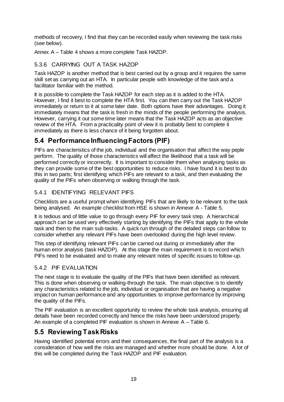methods of recovery, I find that they can be recorded easily when reviewing the task risks (see below).

Annex A – Table 4 shows a more complete Task HAZOP.

#### 5.3.6 CARRYING OUT A TASK HAZOP

Task HAZOP is another method that is best carried out by a group and it requires the same skill set as carrying out an HTA. In particular people with knowledge of the task and a facilitator familiar with the method.

It is possible to complete the Task HAZOP for each step as it is added to the HTA. However, I find it best to complete the HTA first. You can then carry out the Task HAZOP immediately or return to it at some later date. Both options have their advantages. Doing it immediately means that the task is fresh in the minds of the people performing the analysis. However, carrying it out some time later means that the Task HAZOP acts as an objective review of the HTA. From a practicality point of view it is probably best to complete it immediately as there is less chance of it being forgotten about.

## **5.4 Performance Influencing Factors (PIF)**

PIFs are characteristics of the job, individual and the organisation that affect the way peple perform. The quality of those characteristics will affect the likelihood that a task will be performed correctly or incorrectly. It is important to consider them when analysing tasks as they can provide some of the best opportunities to reduce risks. I have found it is best to do this in two parts; first identifying which PIFs are relevant to a task, and then evaluating the quality of the PIFs when observing or walking through the task.

#### 5.4.1 IDENTIFYING RELEVANT PIFS

Checklists are a useful prompt when identifying PIFs that are likely to be relevant to the task being analysed. An example checklist from HSE is shown in Annexe A - Table 5.

It is tedious and of little value to go through every PIF for every task step. A hierarchical approach can be used very effectively starting by identifying the PIFs that apply to the whole task and then to the main sub-tasks. A quick run through of the detailed steps can follow to consider whether any relevant PIFs have been overlooked during the high level review.

This step of identifying relevant PIFs can be carried out during or immediately after the human error analysis (task HAZOP). At this stage the main requirement is to record which PIFs need to be evaluated and to make any relevant notes of specific issues to follow-up.

#### 5.4.2 PIF EVALUATION

The next stage is to evaluate the quality of the PIFs that have been identified as relevant. This is done when observing or walking-through the task. The main objective is to identify any characteristics related to the job, individual or organisation that are having a negative impact on human performance and any opportunities to improve performance by improving the quality of the PIFs.

The PIF evaluation is an excellent opportunity to review the whole task analysis, ensuring all details have been recorded correctly and hence the risks have been understood properly. An example of a completed PIF evaluation is shown in Annexe A – Table 6.

## **5.5 Reviewing Task Risks**

Having identified potential errors and their consequences, the final part of the analysis is a consideration of how well the risks are managed and whether more should be done. A lot of this will be completed during the Task HAZOP and PIF evaluation.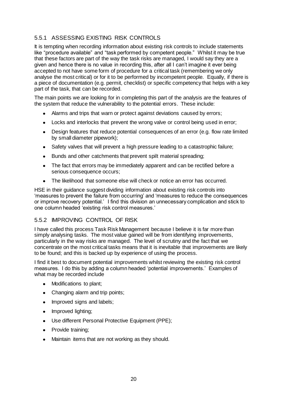#### 5.5.1 ASSESSING EXISTING RISK CONTROLS

It is tempting when recording information about existing risk controls to include statements like "procedure available" and "task performed by competent people." Whilst it may be true that these factors are part of the way the task risks are managed, I would say they are a given and hence there is no value in recording this, after all I can't imagine it ever being accepted to not have some form of procedure for a critical task (remembering we only analyse the most critical) or for it to be performed by incompetent people. Equally, if there is a piece of documentation (e.g. permit, checklist) or specific competency that helps with a key part of the task, that can be recorded.

The main points we are looking for in completing this part of the analysis are the features of the system that reduce the vulnerability to the potential errors. These include:

- Alarms and trips that warn or protect against deviations caused by errors;
- $\bullet$ Locks and interlocks that prevent the wrong valve or control being used in error;
- Design features that reduce potential consequences of an error (e.g. flow rate limited  $\bullet$ by small diameter pipework);
- Safety valves that will prevent a high pressure leading to a catastrophic failure;  $\bullet$
- Bunds and other catchments that prevent spilt material spreading;  $\bullet$
- $\bullet$ The fact that errors may be immediately apparent and can be rectified before a serious consequence occurs;
- The likelihood that someone else will check or notice an error has occurred.

HSE in their guidance suggest dividing information about existing risk controls into 'measures to prevent the failure from occurring' and 'measures to reduce the consequences or improve recovery potential.' I find this division an unnecessary complication and stick to one column headed 'existing risk control measures.'

#### 5.5.2 IMPROVING CONTROL OF RISK

I have called this process Task Risk Management because I believe it is far more than simply analysing tasks. The most value gained will be from identifying improvements, particularly in the way risks are managed. The level of scrutiny and the fact that we concentrate on the most critical tasks means that it is inevitable that improvements are likely to be found; and this is backed up by experience of using the process.

I find it best to document potential improvements whilst reviewing the existing risk control measures. I do this by adding a column headed 'potential improvements.' Examples of what may be recorded include

- $\bullet$ Modifications to plant;
- Changing alarm and trip points;  $\bullet$
- Improved signs and labels;  $\bullet$
- Improved lighting;  $\bullet$
- Use different Personal Protective Equipment (PPE);  $\bullet$
- Provide training;  $\bullet$
- Maintain items that are not working as they should. $\bullet$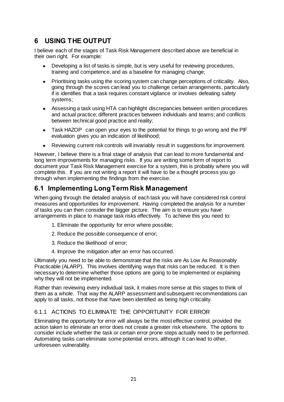## **6 USING THE OUTPUT**

I believe each of the stages of Task Risk Management described above are beneficial in their own right. For example:

- Developing a list of tasks is simple, but is very useful for reviewing procedures, training and competence, and as a baseline for managing change;
- Prioritising tasks using the scoring system can change perceptions of criticality. Also,  $\bullet$ going through the scores can lead you to challenge certain arrangements, particularly if is identifies that a task requires constant vigilance or involves defeating safety systems;
- Assessing a task using HTA can highlight discrepancies between written procedures  $\bullet$ and actual practice; different practices between individuals and teams; and conflicts between technical good practice and reality;
- Task HAZOP can open your eyes to the potential for things to go wrong and the PIF  $\bullet$ evaluation gives you an indication of likelihood;
- Reviewing current risk controls will invariably result in suggestions for improvement.  $\bullet$

However, I believe there is a final stage of analysis that can lead to more fundamental and long term improvements for managing risks. If you are writing some form of report to document your Task Risk Management exercise for a system, this is probably where you will complete this. If you are not writing a report it will have to be a thought process you go through when implementing the findings from the exercise.

## **6.1 Implementing Long Term Risk Management**

When going through the detailed analysis of each task you will have considered risk control measures and opportunities for improvement. Having completed the analysis for a number of tasks you can then consider the bigger picture. The aim is to ensure you have arrangements in place to manage task risks effectively. To achieve this you need to:

- 1. Eliminate the opportunity for error where possible;
- 2. Reduce the possible consequence of error;
- 3. Reduce the likelihood of error;
- 4. Improve the mitigation after an error has occurred.

Ultimately you need to be able to demonstrate that the risks are As Low As Reasonably Practicable (ALARP). This involves identifying ways that risks can be reduced. It is then necessary to determine whether those options are going to be implemented or explaining why they will not be implemented.

Rather than reviewing every individual task, it makes more sense at this stages to think of them as a whole. That way the ALARP assessment and subsequent recommendations can apply to all tasks, not those that have been identified as being high criticality.

#### 6.1.1 ACTIONS TO ELIMINATE THE OPPORTUNITY FOR ERROR

Eliminating the opportunity for error will always be the most effective control, provided the action taken to eliminate an error does not create a greater risk elsewhere. The options to consider include whether the task or certain error prone steps actually need to be performed. Automating tasks can eliminate some potential errors, although it can lead to other, unforeseen vulnerability.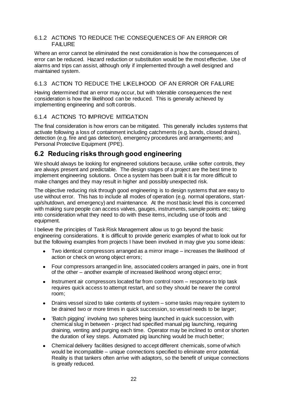#### 6.1.2 ACTIONS TO REDUCE THE CONSEQUENCES OF AN ERROR OR FAILURE

Where an error cannot be eliminated the next consideration is how the consequences of error can be reduced. Hazard reduction or substitution would be the most effective. Use of alarms and trips can assist, although only if implemented through a well designed and maintained system.

#### 6.1.3 ACTION TO REDUCE THE LIKELIHOOD OF AN ERROR OR FAILURE

Having determined that an error may occur, but with tolerable consequences the next consideration is how the likelihood can be reduced. This is generally achieved by implementing engineering and soft controls.

#### 6.1.4 ACTIONS TO IMPROVE MITIGATION

The final consideration is how errors can be mitigated. This generally includes systems that activate following a loss of containment including catchments (e.g. bunds, closed drains), detection (e.g. fire and gas detection), emergency procedures and arrangements; and Personal Protective Equipment (PPE).

#### **6.2 Reducing risks through good engineering**

We should always be looking for engineered solutions because, unlike softer controls, they are always present and predictable. The design stages of a project are the best time to implement engineering solutions. Once a system has been built it is far more difficult to make changes and they may result in higher and possibly unexpected risk.

The objective reducing risk through good engineering is to design systems that are easy to use without error. This has to include all modes of operation (e.g. normal operations, startup/shutdown, and emergency) and maintenance. At the most basic level this is concerned with making sure people can access valves, gauges, instruments, sample points etc; taking into consideration what they need to do with these items, including use of tools and equipment.

I believe the principles of Task Risk Management allow us to go beyond the basic engineering considerations. It is difficult to provide generic examples of what to look out for but the following examples from projects I have been involved in may give you some ideas:

- Two identical compressors arranged as a mirror image increases the likelihood of action or check on wrong object errors;
- Four compressors arranged in line, associated coolers arranged in pairs, one in front  $\bullet$ of the other – another example of increased likelihood wrong object error;
- $\bullet$ Instrument air compressors located far from control room – response to trip task requires quick access to attempt restart, and so they should be nearer the control room;
- Drains vessel sized to take contents of system some tasks may require system to  $\bullet$ be drained two or more times in quick succession, so vessel needs to be larger;
- 'Batch pigging' involving two spheres being launched in quick succession, with  $\bullet$ chemical slug in between - project had specified manual pig launching, requiring draining, venting and purging each time. Operator may be inclined to omit or shorten the duration of key steps. Automated pig launching would be much better;
- Chemical delivery facilities designed to accept different chemicals, some of which  $\bullet$ would be incompatible – unique connections specified to eliminate error potential. Reality is that tankers often arrive with adaptors, so the benefit of unique connections is greatly reduced.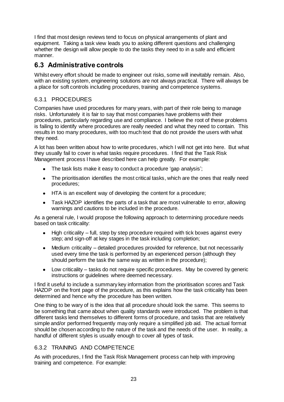I find that most design reviews tend to focus on physical arrangements of plant and equipment. Taking a task view leads you to asking different questions and challenging whether the design will allow people to do the tasks they need to in a safe and efficient manner.

## **6.3 Administrative controls**

Whilst every effort should be made to engineer out risks, some will inevitably remain. Also, with an existing system, engineering solutions are not always practical. There will always be a place for soft controls including procedures, training and competence systems.

#### 6.3.1 PROCEDURES

Companies have used procedures for many years, with part of their role being to manage risks. Unfortunately it is fair to say that most companies have problems with their procedures, particularly regarding use and compliance. I believe the root of these problems is failing to identify where procedures are really needed and what they need to contain. This results in too many procedures, with too much text that do not provide the users with what they need.

A lot has been written about how to write procedures, which I will not get into here. But what they usually fail to cover is what tasks require procedures. I find that the Task Risk Management process I have described here can help greatly. For example:

- The task lists make it easy to conduct a procedure 'gap analysis';
- The prioritisation identifies the most critical tasks, which are the ones that really need procedures;
- HTA is an excellent way of developing the content for a procedure;
- Task HAZOP identifies the parts of a task that are most vulnerable to error, allowing warnings and cautions to be included in the procedure.

As a general rule, I would propose the following approach to determining procedure needs based on task criticality:

- $\bullet$  High criticality full, step by step procedure required with tick boxes against every step; and sign-off at key stages in the task including completion;
- Medium criticality detailed procedures provided for reference, but not necessarily  $\bullet$ used every time the task is performed by an experienced person (although they should perform the task the same way as written in the procedure);
- Low criticality tasks do not require specific procedures. May be covered by generic  $\bullet$ instructions or guidelines where deemed necessary.

I find it useful to include a summary key information from the prioritisation scores and Task HAZOP on the front page of the procedure, as this explains how the task criticality has been determined and hence why the procedure has been written.

One thing to be wary of is the idea that all procedure should look the same. This seems to be something that came about when quality standards were introduced. The problem is that different tasks lend themselves to different forms of procedure, and tasks that are relatively simple and/or performed frequently may only require a simplified job aid. The actual format should be chosen according to the nature of the task and the needs of the user. In reality, a handful of different styles is usually enough to cover all types of task.

#### 6.3.2 TRAINING AND COMPETENCE

As with procedures, I find the Task Risk Management process can help with improving training and competence. For example: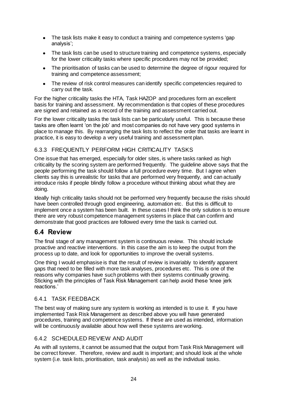- $\bullet$ The task lists make it easy to conduct a training and competence systems 'gap analysis';
- The task lists can be used to structure training and competence systems, especially  $\bullet$ for the lower criticality tasks where specific procedures may not be provided;
- The prioritisation of tasks can be used to determine the degree of rigour required for  $\bullet$ training and competence assessment;
- The review of risk control measures can identify specific competencies required to  $\bullet$ carry out the task.

For the higher criticality tasks the HTA, Task HAZOP and procedures form an excellent basis for training and assessment. My recommendation is that copies of these procedures are signed and retained as a record of the training and assessment carried out.

For the lower criticality tasks the task lists can be particularly useful. This is because these tasks are often learnt 'on the job' and most companies do not have very good systems in place to manage this. By rearranging the task lists to reflect the order that tasks are learnt in practice, it is easy to develop a very useful training and assessment plan.

#### 6.3.3 FREQUENTLY PERFORM HIGH CRITICALITY TASKS

One issue that has emerged, especially for older sites, is where tasks ranked as high criticality by the scoring system are performed frequently. The guideline above says that the people performing the task should follow a full procedure every time. But I agree when clients say this is unrealistic for tasks that are performed very frequently, and can actually introduce risks if people blindly follow a procedure without thinking about what they are doing.

Ideally high criticality tasks should not be performed very frequently because the risks should have been controlled through good engineering, automation etc. But this is difficult to implement once a system has been built. In these cases I think the only solution is to ensure there are very robust competence management systems in place that can confirm and demonstrate that good practices are followed every time the task is carried out.

#### **6.4 Review**

The final stage of any management system is continuous review. This should include proactive and reactive interventions. In this case the aim is to keep the output from the process up to date, and look for opportunities to improve the overall systems.

One thing I would emphasise is that the result of review is invariably to identify apparent gaps that need to be filled with more task analyses, procedures etc. This is one of the reasons why companies have such problems with their systems continually growing. Sticking with the principles of Task Risk Management can help avoid these 'knee jerk reactions.'

#### 6.4.1 TASK FEEDBACK

The best way of making sure any system is working as intended is to use it. If you have implemented Task Risk Management as described above you will have generated procedures, training and competence systems. If these are used as intended, information will be continuously available about how well these systems are working.

#### 6.4.2 SCHEDULED REVIEW AND AUDIT

As with all systems, it cannot be assumed that the output from Task Risk Management will be correct forever. Therefore, review and audit is important; and should look at the whole system (i.e. task lists, prioritisation, task analysis) as well as the individual tasks.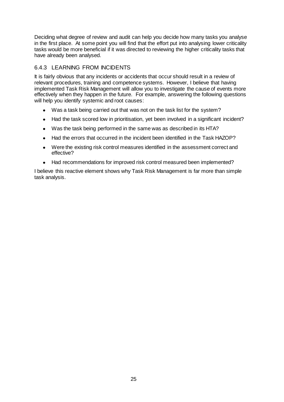Deciding what degree of review and audit can help you decide how many tasks you analyse in the first place. At some point you will find that the effort put into analysing lower criticality tasks would be more beneficial if it was directed to reviewing the higher criticality tasks that have already been analysed.

#### 6.4.3 LEARNING FROM INCIDENTS

It is fairly obvious that any incidents or accidents that occur should result in a review of relevant procedures, training and competence systems. However, I believe that having implemented Task Risk Management will allow you to investigate the cause of events more effectively when they happen in the future. For example, answering the following questions will help you identify systemic and root causes:

- Was a task being carried out that was not on the task list for the system?
- Had the task scored low in prioritisation, yet been involved in a significant incident?  $\bullet$
- Was the task being performed in the same was as described in its HTA?  $\bullet$
- Had the errors that occurred in the incident been identified in the Task HAZOP?  $\bullet$
- Were the existing risk control measures identified in the assessment correct and  $\bullet$ effective?
- Had recommendations for improved risk control measured been implemented?  $\bullet$

I believe this reactive element shows why Task Risk Management is far more than simple task analysis.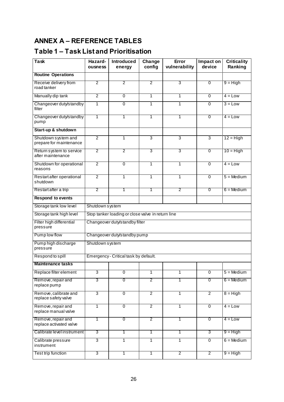# **ANNEX A – REFERENCE TABLES**

## **Table 1 – Task List and Prioritisation**

| <b>Task</b>                                    | Hazard-<br>ousness | <b>Introduced</b><br>energy                       | Change<br>config | Error<br>vulnerability | Impact on<br>device | <b>Criticality</b><br>Ranking |  |
|------------------------------------------------|--------------------|---------------------------------------------------|------------------|------------------------|---------------------|-------------------------------|--|
| <b>Routine Operations</b>                      |                    |                                                   |                  |                        |                     |                               |  |
| Receive delivery from<br>road tanker           | 2                  | 2                                                 | 2                | 3                      | $\overline{0}$      | $9 = High$                    |  |
| Manually dip tank                              | $\overline{2}$     | $\overline{0}$                                    | 1                | 1                      | $\mathbf 0$         | $4 = Low$                     |  |
| Changeover duty/standby<br>filter              | $\mathbf{1}$       | $\overline{0}$                                    | $\mathbf{1}$     | 1                      | $\mathbf 0$         | $3 = Low$                     |  |
| Changeover duty/standby<br>pump                | 1                  | 1                                                 | 1                | 1                      | $\overline{0}$      | $4 = Low$                     |  |
| Start-up & shutdown                            |                    |                                                   |                  |                        |                     |                               |  |
| Shutdown system and<br>prepare for maintenance | $\overline{2}$     | 1                                                 | 3                | 3                      | 3                   | $12 = High$                   |  |
| Return system to service<br>after maintenance  | $\overline{2}$     | 2                                                 | 3                | 3                      | $\overline{0}$      | $10 =$ High                   |  |
| Shutdown for operational<br>reasons            | $\overline{2}$     | $\overline{0}$                                    | $\mathbf{1}$     | 1                      | $\mathbf 0$         | $4 = Low$                     |  |
| Restart after operational<br>shutdown          | $\overline{2}$     | 1                                                 | 1                | 1                      | $\mathbf 0$         | $5 = \text{Median}$           |  |
| Restart after a trip                           | $\overline{2}$     | 1                                                 | 1                | $\overline{2}$         | $\overline{0}$      | $6 = \text{Median}$           |  |
| <b>Respond to events</b>                       |                    |                                                   |                  |                        |                     |                               |  |
| Storage tank low level                         |                    | Shutdown system                                   |                  |                        |                     |                               |  |
| Storage tank high level                        |                    | Stop tanker loading or close valve in return line |                  |                        |                     |                               |  |
| Filter high differential<br>pressure           |                    | Changeover duty/standby filter                    |                  |                        |                     |                               |  |
| Pump low flow                                  |                    | Changeover duty/standby pump                      |                  |                        |                     |                               |  |
| Pump high discharge<br>pressure                | Shutdown system    |                                                   |                  |                        |                     |                               |  |
| Respond to spill                               |                    | Emergency - Critical task by default.             |                  |                        |                     |                               |  |
| <b>Maintenance tasks</b>                       |                    |                                                   |                  |                        |                     |                               |  |
| Replace filter element                         | 3                  | U                                                 | 1                | 1                      | U                   | 5 = Medium                    |  |
| Remove, repair and<br>replace pump             | 3                  | $\overline{0}$                                    | 2                | 1                      | $\overline{0}$      | $6 = \text{Median}$           |  |
| Remove, calibrate and<br>replace safety valve  | $\overline{3}$     | $\overline{0}$                                    | $\overline{2}$   | $\overline{1}$         | $\overline{2}$      | $8 = High$                    |  |
| Remove, repair and<br>replace manual valve     | 1                  | $\overline{0}$                                    | $\overline{2}$   | 1                      | $\overline{0}$      | $4 = Low$                     |  |
| Remove, repair and<br>replace activated valve  | 1                  | $\overline{0}$                                    | $\overline{2}$   | 1                      | $\overline{0}$      | $4 = Low$                     |  |
| Calibrate level instrument                     | 3                  | 1                                                 | 1                | 1                      | 3                   | $9 = High$                    |  |
| Calibrate pressure<br>instrument               | 3                  | 1                                                 | $\mathbf{1}$     | 1                      | $\overline{0}$      | $6 = \text{Median}$           |  |
| Test trip function                             | $\overline{3}$     | 1                                                 | 1                | $\overline{2}$         | $\overline{2}$      | $9 = High$                    |  |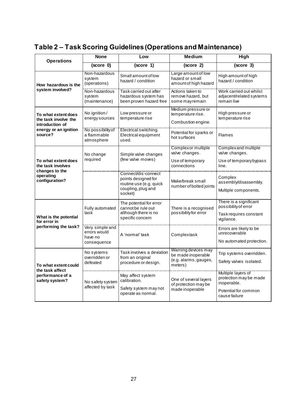# **Table 2 – Task Scoring Guidelines (Operations and Maintenance)**

| <b>Operations</b>                                              | <b>None</b>                                                        | <b>Medium</b><br>Low                                                                                   |                                                                               | High                                                                                                 |
|----------------------------------------------------------------|--------------------------------------------------------------------|--------------------------------------------------------------------------------------------------------|-------------------------------------------------------------------------------|------------------------------------------------------------------------------------------------------|
|                                                                | (score 0)                                                          | (score 1)                                                                                              | (score 2)                                                                     | (score 3)                                                                                            |
| How hazardous is the                                           | Non-hazardous<br>system<br>(operations)                            | Small amount of low<br>hazard / condition                                                              | Large amount of low<br>hazard or small<br>amount of high hazard               | High amount of high<br>hazard / condition                                                            |
| system involved?                                               | ----------------------<br>Non-hazardous<br>system<br>(maintenance) | Task carried out after<br>hazardous system has<br>been proven hazard free                              | Actions taken to<br>remove hazard, but<br>some mayremain                      | Work carried out whilst<br>adjacent/related systems<br>remain live                                   |
| To what extent does<br>the task involve the<br>introduction of | No ignition /<br>energy sources                                    | Low pressure or<br>temperature rise                                                                    | Medium pressure or<br>temperature rise.<br>Combustion engine.                 | High pressure or<br>temperature rise                                                                 |
| energy or an ignition<br>source?                               | No possibility of<br>a flammable<br>atmosphere                     | Electrical switching.<br>Electrical equipment<br>used.                                                 | Potential for sparks or<br>hot surfaces                                       | <b>Flames</b>                                                                                        |
|                                                                | No change                                                          | Simple valve changes<br>(few valve moves)                                                              | Complexor multiple<br>valve changes.                                          | <b>Complexand multiple</b><br>valve changes.                                                         |
| To what extent does<br>the task involves<br>changes to the     | required                                                           |                                                                                                        | Use of temporary<br>connections                                               | Use of temporary bypass<br>line.                                                                     |
| operating<br>configuration?                                    |                                                                    | Connect/dis-connect<br>points designed for<br>routine use (e.g. quick<br>coupling, plug and<br>socket) | Make/break small<br>number of bolted joints                                   | Complex<br>assembly/disassembly.<br>Multiple components.                                             |
| What is the potential<br>for error in                          | Fully automated<br>task                                            | The potential for error<br>cannot be rule out<br>although there is no<br>specific concern              | There is a recognised<br>possibility for error                                | There is a significant<br>possibility of error<br>Task requires constant<br>vigilance.               |
| performing the task?                                           | <b>Very simple and</b><br>errors would<br>have no<br>consequence   | A 'normal' task                                                                                        | Complextask                                                                   | Errors are likely to be<br>unrecoverable<br>No automated protection.                                 |
| To what extent could                                           | No systems<br>overridden or<br>defeated                            | Task involves a deviation<br>from an original<br>procedure or design.                                  | Warning devices may<br>be made inoperable<br>(e.g. alarms, gauges,<br>meters) | Trip systems overridden.<br>Safety valves isolated.                                                  |
| the task affect<br>performance of a<br>safety system?          | No safety system<br>affected by task                               | May affect system<br>calibration.<br>Safety system may not<br>operate as normal.                       | One of several layers<br>of protection may be<br>made inoperable              | Multiple layers of<br>protection may be made<br>inoperable.<br>Potential for common<br>cause failure |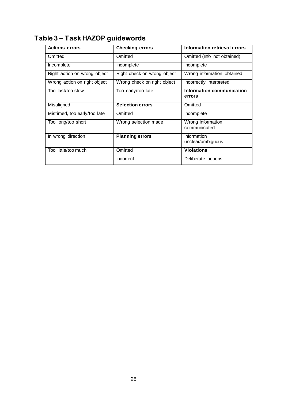# **Table 3 – Task HAZOP guidewords**

| <b>Actions errors</b>        | <b>Checking errors</b>      | Information retrieval errors        |
|------------------------------|-----------------------------|-------------------------------------|
| Omitted                      | Omitted                     | Omitted (Info not obtained)         |
| Incomplete                   | Incomplete                  | Incomplete                          |
| Right action on wrong object | Right check on wrong object | Wrong information obtained          |
| Wrong action on right object | Wrong check on right object | Incorrectly interpreted             |
| Too fast/too slow            | Too early/too late          | Information communication<br>errors |
| Misaligned                   | <b>Selection errors</b>     | Omitted                             |
| Mistimed, too early/too late | Omitted                     | Incomplete                          |
| Too long/too short           | Wrong selection made        | Wrong information<br>communicated   |
| In wrong direction           | <b>Planning errors</b>      | Information<br>unclear/ambiguous    |
| Too little/too much          | Omitted                     | <b>Violations</b>                   |
|                              | Incorrect                   | Deliberate actions                  |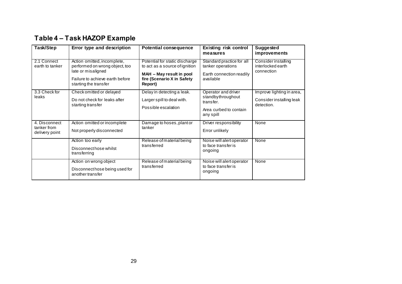## **Table 4 – Task HAZOP Example**

| Task/Step                                      | Error type and description                                                                                                                      | <b>Potential consequence</b>                                                                                                          | <b>Existing risk control</b><br>measures                                                     | Suggested<br><i>improvements</i>                                    |
|------------------------------------------------|-------------------------------------------------------------------------------------------------------------------------------------------------|---------------------------------------------------------------------------------------------------------------------------------------|----------------------------------------------------------------------------------------------|---------------------------------------------------------------------|
| 2.1 Connect<br>earth to tanker                 | Action omitted, incomplete,<br>performed on wrong object, too<br>late or misaligned<br>Failure to achieve earth before<br>starting the transfer | Potential for static discharge<br>to act as a source of ignition<br>MAH - May result in pool<br>fire (Scenario X in Safety<br>Report) | Standard practice for all<br>tanker operations<br>Earth connection readily<br>available      | Consider installing<br>interlocked earth<br>connection              |
| 3.3 Check for<br>leaks                         | Check omitted or delayed<br>Do not check for leaks after<br>starting transfer                                                                   | Delay in detecting a leak.<br>Larger spill to deal with.<br>Possible escalation                                                       | Operator and driver<br>standbythroughout<br>transfer.<br>Area curbed to contain<br>any spill | Improve lighting in area,<br>Consider installing leak<br>detection. |
| 4. Disconnect<br>tanker from<br>delivery point | Action omitted or incomplete<br>Not properly disconnected                                                                                       | Damage to hoses, plant or<br>tanker                                                                                                   | Driver responsibility<br>Error unlikely                                                      | None                                                                |
|                                                | Action too early<br>Disconnect hose whilst<br>transferring                                                                                      | Release of material being<br>transferred                                                                                              | Noise will alert operator<br>to face transfer is<br>ongoing                                  | None                                                                |
|                                                | Action on wrong object<br>Disconnect hose being used for<br>another transfer                                                                    | Release of material being<br>transferred                                                                                              | Noise will alert operator<br>to face transfer is<br>ongoing                                  | None                                                                |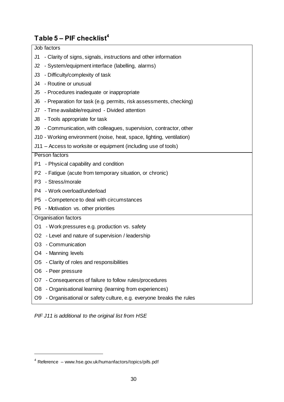## **Table 5 – PIF checklist<sup>4</sup>**

| Job factors                                                              |
|--------------------------------------------------------------------------|
| - Clarity of signs, signals, instructions and other information<br>J1    |
| - System/equipment interface (labelling, alarms)<br>J2                   |
| - Difficulty/complexity of task<br>J3                                    |
| - Routine or unusual<br>J4                                               |
| - Procedures inadequate or inappropriate<br>J5                           |
| - Preparation for task (e.g. permits, risk assessments, checking)<br>J6  |
| - Time available/required - Divided attention<br>J7                      |
| - Tools appropriate for task<br>J8                                       |
| J9 - Communication, with colleagues, supervision, contractor, other      |
| J10 - Working environment (noise, heat, space, lighting, ventilation)    |
| J11 – Access to worksite or equipment (including use of tools)           |
| Person factors                                                           |
| P1 - Physical capability and condition                                   |
| P2 - Fatigue (acute from temporary situation, or chronic)                |
| - Stress/morale<br>P3                                                    |
| P4 - Work overload/underload                                             |
| - Competence to deal with circumstances<br>P5                            |
| P6 - Motivation vs. other priorities                                     |
| Organisation factors                                                     |
| O1 - Work pressures e.g. production vs. safety                           |
| O2 - Level and nature of supervision / leadership                        |
| O3 - Communication                                                       |
| O4 - Manning levels                                                      |
| - Clarity of roles and responsibilities<br>O5                            |
| - Peer pressure<br>O6                                                    |
| - Consequences of failure to follow rules/procedures<br>O7               |
| - Organisational learning (learning from experiences)<br>O8              |
| - Organisational or safety culture, e.g. everyone breaks the rules<br>O9 |



 $\overline{a}$ 

 $4$  Reference – www.hse.gov.uk/humanfactors/topics/pifs.pdf